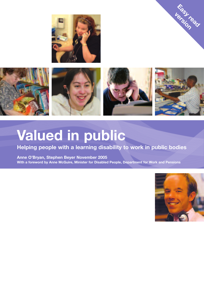



# **Valued in public**

# **Helping people with a learning disability to work in public bodies**

**Anne O'Bryan, Stephen Beyer November 2005 With a foreword by Anne McGuire, Minister for Disabled People, Department for Work and Pensions**



**Rasy read**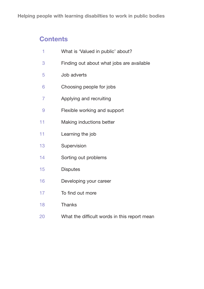# **Contents**

| 1  | What is 'Valued in public' about?            |
|----|----------------------------------------------|
| 3  | Finding out about what jobs are available    |
| 5  | Job adverts                                  |
| 6  | Choosing people for jobs                     |
| 7  | Applying and recruiting                      |
| 9  | Flexible working and support                 |
| 11 | Making inductions better                     |
| 11 | Learning the job                             |
| 13 | Supervision                                  |
| 14 | Sorting out problems                         |
| 15 | <b>Disputes</b>                              |
| 16 | Developing your career                       |
| 17 | To find out more                             |
| 18 | <b>Thanks</b>                                |
| 20 | What the difficult words in this report mean |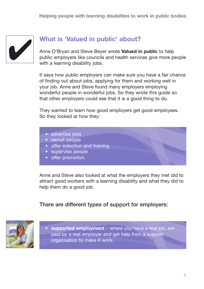

# **What is 'Valued in public' about?**

Anne O'Bryan and Steve Beyer wrote **Valued in public** to help public employers like councils and health services give more people with a learning disability jobs.

It says how public employers can make sure you have a fair chance of finding out about jobs, applying for them and working well in your job. Anne and Steve found many employers employing wonderful people in wonderful jobs. So they wrote this guide so that other employers could see that it is a good thing to do.

They wanted to learn how good employers get good employees. So they looked at how they:

- advertise jobs
- recruit people
- offer induction and training
- supervise people
- offer promotion.

Anne and Steve also looked at what the employers they met did to attract good workers with a learning disability and what they did to help them do a good job.

### There are different types of support for employers:



• **supported employment** – where you have a real job, are paid by a real employer and get help from a support organisation to make it work.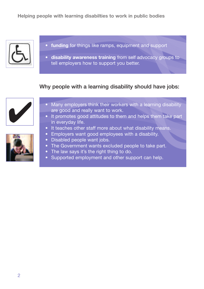

- funding for things like ramps, equipment and support
- **disability awareness training** from self advocacy groups to tell employers how to support you better.

### Why people with a learning disability should have jobs:



- Many employers think their workers with a learning disability are good and really want to work.
- It promotes good attitudes to them and helps them take part in everyday life.
- It teaches other staff more about what disability means.
- Employers want good employees with a disability.
- Disabled people want jobs.
- The Government wants excluded people to take part.
- The law says it's the right thing to do.
- Supported employment and other support can help.

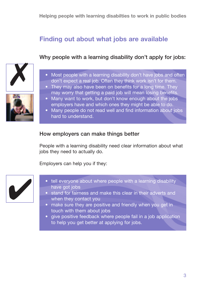# **Finding out about what jobs are available**

### Why people with a learning disability don't apply for jobs:





• They may also have been on benefits for a long time. They may worry that getting a paid job will mean losing benefits.



- Many want to work, but don't know enough about the jobs employers have and which ones they might be able to do.
- Many people do not read well and find information about jobs hard to understand.

### How employers can make things better

People with a learning disability need clear information about what jobs they need to actually do.

Employers can help you if they:



- tell everyone about where people with a learning disability have got jobs
- stand for fairness and make this clear in their adverts and when they contact you
- make sure they are positive and friendly when you get in touch with them about jobs
- give positive feedback where people fail in a job application to help you get better at applying for jobs.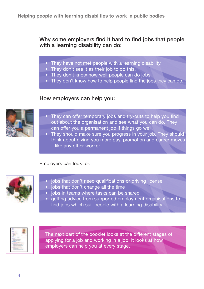Why some employers find it hard to find jobs that people with a learning disability can do:

- They have not met people with a learning disability.
- They don't see it as their job to do this.
- They don't know how well people can do jobs.
- They don't know how to help people find the jobs they can do.

### How employers can help you:



- They can offer temporary jobs and try-outs to help you find out about the organisation and see what you can do. They can offer you a permanent job if things go well.
- They should make sure you progress in your job. They should think about giving you more pay, promotion and career moves – like any other worker.

#### Employers can look for:



- jobs that don't need qualifications or driving license
- jobs that don't change all the time
- jobs in teams where tasks can be shared
- getting advice from supported employment organisations to find jobs which suit people with a learning disability.



The next part of the booklet looks at the different stages of applying for a job and working in a job. It looks at how employers can help you at every stage.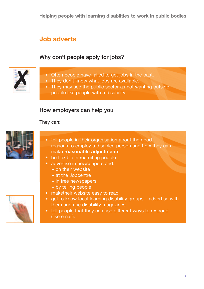# **Job adverts**

# Why don't people apply for jobs?

- Often people have failed to get jobs in the past.
- They don't know what jobs are available.
- They may see the public sector as not wanting outside people like people with a disability.

### How employers can help you

They can:



**✗**

- tell people in their organisation about the good reasons to employ a disabled person and how they can make **reasonable adjustments**
- be flexible in recruiting people
- advertise in newspapers and:
	- **–** on their website
	- **–** at the Jobcentre
	- **–** in free newspapers
	- **–** by telling people
- maketheir website easy to read
- get to know local learning disability groups advertise with them and use disability magazines
- tell people that they can use different ways to respond (like email).

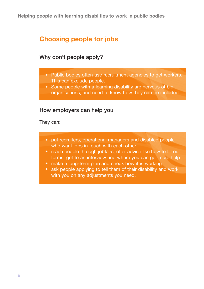# **Choosing people for jobs**

### Why don't people apply?

- Public bodies often use recruitment agencies to get workers. This can exclude people.
- Some people with a learning disability are nervous of big organisations, and need to know how they can be included.

### How employers can help you

They can:

- put recruiters, operational managers and disabled people who want jobs in touch with each other
- reach people through jobfairs, offer advice like how to fill out forms, get to an interview and where you can get more help
- make a long-term plan and check how it is working
- ask people applying to tell them of their disability and work with you on any adjustments you need.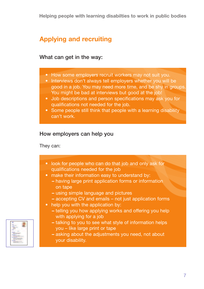# **Applying and recruiting**

### What can get in the way:

- How some employers recruit workers may not suit you.
- Interviews don't always tell employers whether you will be good in a job. You may need more time, and be shy in groups. You might be bad at interviews but good at the job!
- Job descriptions and person specifications may ask you for qualifications not needed for the job.
- Some people still think that people with a learning disability can't work.

# How employers can help you

They can:

- look for people who can do that job and only ask for qualifications needed for the job
- make their information easy to understand by:
	- **–** having large print application forms or information on tape
	- **–** using simple language and pictures
	- **–** accepting CV and emails not just application forms
- help you with the application by:
	- **–** telling you how applying works and offering you help with applying for a job
	- **–** talking to you to see what style of information helps you – like large print or tape
	- **–** asking about the adjustments you need, not about your disability.

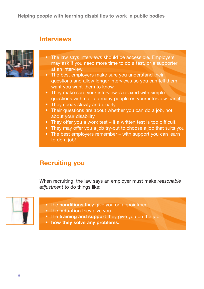# **Interviews**



- The law says interviews should be accessible. Employers may ask if you need more time to do a test, or a supporter at an interview.
- The best employers make sure you understand their questions and allow longer interviews so you can tell them want you want them to know.
- They make sure your interview is relaxed with simple questions with not too many people on your interview panel.
- They speak slowly and clearly.
- Their questions are about whether you can do a job, not about your disability.
- They offer you a work test if a written test is too difficult.
- They may offer you a job try-out to choose a job that suits you.
- The best employers remember with support you can learn to do a job!

# **Recruiting you**

When recruiting, the law says an employer must make *reasonable adjustment* to do things like:



- the **conditions** they give you on appointment
- the **induction** they give you
- the **training and support** they give you on the job
- **how they solve any problems.**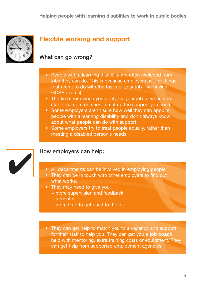

# **Flexible working and support**

### What can go wrong?

- People with a learning disability are often excluded from jobs they can do. This is because employers ask for things that aren't to do with the tasks of your job (like having GCSE exams).
- The time from when you apply for your job to when you start it can be too short to set up the support you need.
- Some employers aren't sure how well they can appoint people with a learning disability and don't always know about what people can do with support.
- Some employers try to treat people equally, rather than meeting a disabled person's needs.



### How employers can help:

- All departments can be involved in employing people.
- They can be in touch with other employers to find out what works.
- They may need to give you:
	- **–** more supervision and feedback
	- **–** a mentor
	- **–** more time to get used to the job.
- They can get help to match you to a vacancy and support for their staff to help you. They can get you a **job coach**, help with mentoring, extra training costs or equipment. They can get help from supported employment agencies.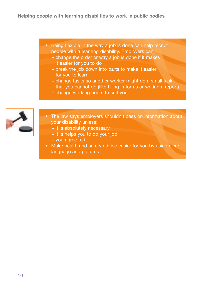- Being flexible in the way a job is done can help recruit people with a learning disability. Employers can:
	- **–** change the order or way a job is done if it makes it easier for you to do
	- **–** break the job down into parts to make it easier for you to learn
	- **–** change tasks so another worker might do a small task that you cannot do (like filling in forms or writing a report)
	- **–** change working hours to suit you.



- The law says employers shouldn't pass on information about your disability unless:
	- **–** it is absolutely necessary
	- **–** it is helps you to do your job
	- **–** you agree to it.
- Make health and safety advice easier for you by using clear language and pictures.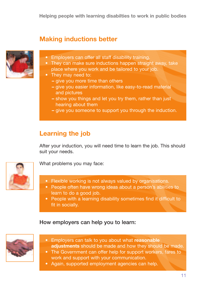# **Making inductions better**



- Employers can offer all staff disability training.
- They can make sure inductions happen straight away, take place where you work and be tailored to your job.
- They may need to:
	- give you more time than others
	- give you easier information, like easy-to-read material and pictures
	- show you things and let you try them, rather than just hearing about them
	- give you someone to support you through the induction.

# **Learning the job**

After your induction, you will need time to learn the job. This should suit your needs.



What problems you may face:

- Flexible working is not always valued by organisations.
- People often have wrong ideas about a person's abilities to learn to do a good job.
- People with a learning disability sometimes find it difficult to fit in socially.

### How employers can help you to learn:



- Employers can talk to you about what **reasonable adjustments** should be made and how they should be made.
- The Government can offer help for support workers, fares to work and support with your communication.
- Again, supported employment agencies can help.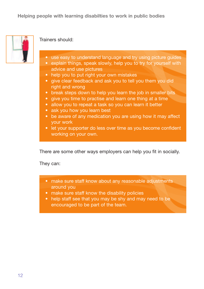

### Trainers should:

- use easy to understand language and try using picture guides
- explain things, speak slowly, help you to try for yourself with advice and use pictures
- help you to put right your own mistakes
- give clear feedback and ask you to tell you them you did right and wrong
- break steps down to help you learn the job in smaller bits
- give you time to practise and learn one thing at a time
- allow you to repeat a task so you can learn it better
- ask you how you learn best
- be aware of any medication you are using how it may affect your work
- let your supporter do less over time as you become confident working on your own.

There are some other ways employers can help you fit in socially.

They can:

- make sure staff know about any reasonable adjustments around you
- make sure staff know the disability policies
- help staff see that you may be shy and may need to be encouraged to be part of the team.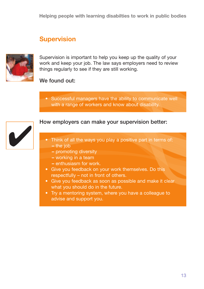# **Supervision**



Supervision is important to help you keep up the quality of your work and keep your job. The law says employers need to review things regularly to see if they are still working.

### We found out:

• Successful managers have the ability to communicate well with a range of workers and know about disability.



### How employers can make your supervision better:

- Think of all the ways you play a positive part in terms of: **–** the job
	- promoting diversity
	- working in a team
	- enthusiasm for work.
- Give you feedback on your work themselves. Do this respectfully – not in front of others.
- Give you feedback as soon as possible and make it clear what you should do in the future.
- Try a mentoring system, where you have a colleague to advise and support you.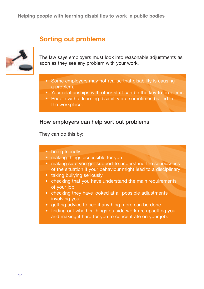# **Sorting out problems**



The law says employers must look into reasonable adjustments as soon as they see any problem with your work.

- Some employers may not realise that disability is causing a problem.
- Your relationships with other staff can be the key to problems.
- People with a learning disability are sometimes bullied in the workplace.

### How employers can help sort out problems

They can do this by:

| • being friendly |  |  |  |
|------------------|--|--|--|
|                  |  |  |  |

- making things accessible for you
- making sure you get support to understand the seriousness of the situation if your behaviour might lead to a disciplinary
- taking bullying seriously
- checking that you have understand the main requirements of your job
- checking they have looked at all possible adjustments involving you
- getting advice to see if anything more can be done
- finding out whether things outside work are upsetting you and making it hard for you to concentrate on your job.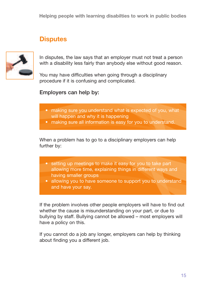# **Disputes**



In disputes, the law says that an employer must not treat a person with a disability less fairly than anybody else without good reason.

You may have difficulties when going through a disciplinary procedure if it is confusing and complicated.

### Employers can help by:

- making sure you understand what is expected of you, what will happen and why it is happening
- making sure all information is easy for you to understand.

When a problem has to go to a disciplinary employers can help further by:

- setting up meetings to make it easy for you to take part allowing more time, explaining things in different ways and having smaller groups
- allowing you to have someone to support you to understand and have your say.

If the problem involves other people employers will have to find out whether the cause is misunderstanding on your part, or due to bullying by staff. Bullying cannot be allowed – most employers will have a policy on this.

If you cannot do a job any longer, employers can help by thinking about finding you a different job.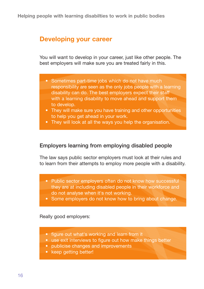# **Developing your career**

You will want to develop in your career, just like other people. The best employers will make sure you are treated fairly in this.

- Sometimes part-time jobs which do not have much responsibility are seen as the only jobs people with a learning disability can do. The best employers expect their staff with a learning disability to move ahead and support them to develop.
- They will make sure you have training and other opportunities to help you get ahead in your work.
- They will look at all the ways you help the organisation.

### Employers learning from employing disabled people

The law says public sector employers must look at their rules and to learn from their attempts to employ more people with a disability.

- Public sector employers often do not know how successful they are at including disabled people in their workforce and do not analyse when it's not working.
- Some employers do not know how to bring about change.

Really good employers:

- figure out what's working and learn from it
- use exit interviews to figure out how make things better
- publicise changes and improvements
- keep getting better!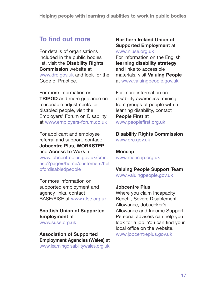# **To find out more**

For details of organisations included in the public bodies list, visit the **Disability Rights Commission** website at www.drc.gov.uk and look for the Code of Practice.

For more information on **TRIPOD** and more guidance on reasonable adjustments for disabled people, visit the Employers' Forum on Disability at www.employers-forum.co.uk

For applicant and employee referral and support, contact: **Jobcentre Plus**, **WORKSTEP** and **Access to Work** at www.jobcentreplus.gov.uk/cms. asp?page=/home/customers/hel pfordisabledpeople

For more information on supported employment and agency links, contact BASE/AfSE at www.afse.org.uk

### **Scottish Union of Supported Employment** at www.suse.org.uk

### **Association of Supported Employment Agencies (Wales)** at www.learningdisabilitywales.org.uk

### **Northern Ireland Union of Supported Employment** at

www.niuse.org.uk For information on the English **learning disability strategy**, and links to accessible materials, visit **Valuing People** at www.valuingpeople.gov.uk

For more information on disability awareness training from groups of people with a learning disability, contact **People First** at www.peoplefirst.org.uk

**Disability Rights Commission** www.drc.gov.uk

**Mencap** www.mencap.org.uk

# **Valuing People Support Team**

www.valuingpeople.gov.uk

### **Jobcentre Plus**

Where you claim Incapacity Benefit, Severe Disablement Allowance, Jobseeker's Allowance and Income Support. Personal advisers can help you look for a job. You can find your local office on the website. www.jobcentreplus.gov.uk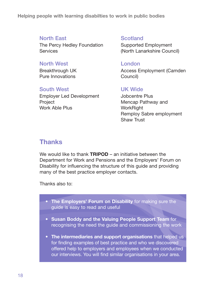### North East

The Percy Hedley Foundation **Services** 

### North West

Breakthrough UK Pure Innovations

### South West

Employer Led Development **Project** Work Able Plus

**Scotland** 

Supported Employment (North Lanarkshire Council)

### London

Access Employment (Camden Council)

### UK Wide

Jobcentre Plus Mencap Pathway and **WorkRight** Remploy Sabre employment Shaw Trust

# **Thanks**

We would like to thank **TRIPOD** – an initiative between the Department for Work and Pensions and the Employers' Forum on Disability for influencing the structure of this guide and providing many of the best practice employer contacts.

Thanks also to:

- **The Employers' Forum on Disability** for making sure the guide is easy to read and useful
- **Susan Boddy and the Valuing People Support Team** for recognising the need the guide and commissioning the work
- **The intermediaries and support organisations** that helped us for finding examples of best practice and who we discovered offered help to employers and employees when we conducted our interviews. You will find similar organisations in your area.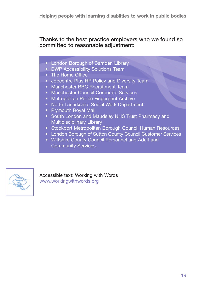### Thanks to the best practice employers who we found so committed to reasonable adjustment:

- London Borough of Camden Library
- DWP Accessibility Solutions Team
- The Home Office
- Jobcentre Plus HR Policy and Diversity Team
- Manchester BBC Recruitment Team
- Manchester Council Corporate Services
- Metropolitan Police Fingerprint Archive
- North Lanarkshire Social Work Department
- Plymouth Royal Mail
- South London and Maudsley NHS Trust Pharmacy and Multidisciplinary Library
- Stockport Metropolitan Borough Council Human Resources
- London Borough of Sutton County Council Customer Services
- Wiltshire County Council Personnel and Adult and Community Services.



Accessible text: Working with Words www.workingwithwords.org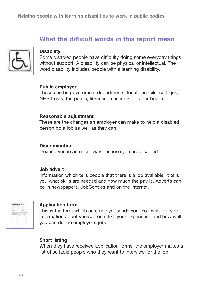# **What the difficult words in this report mean**



#### **Disability**

Some disabled people have difficulty doing some everyday things without support. A disability can be physical or intellectual. The word disability includes people with a learning disability.

#### **Public employer**

These can be government departments, local councils, colleges, NHS trusts, the police, libraries, museums or other bodies.

#### **Reasonable adjustment**

These are the changes an employer can make to help a disabled person do a job as well as they can.

#### **Discrimination**

Treating you in an unfair way because you are disabled.

#### **Job advert**

Information which tells people that there is a job available. It tells you what skills are needed and how much the pay is. Adverts can be in newspapers, JobCentres and on the internet.



#### **Application form**

This is the form which an employer sends you. You write or type information about yourself on it like your experience and how well you can do the employer's job.

#### **Short listing**

When they have received application forms, the employer makes a list of suitable people who they want to interview for the job.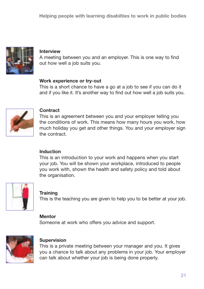

#### **Interview**

A meeting between you and an employer. This is one way to find out how well a job suits you.

#### **Work experience or try-out**

This is a short chance to have a go at a job to see if you can do it and if you like it. It's another way to find out how well a job suits you.



### **Contract**

This is an agreement between you and your employer telling you the conditions of work. This means how many hours you work, how much holiday you get and other things. You and your employer sign the contract.

### **Induction**

This is an introduction to your work and happens when you start your job. You will be shown your workplace, introduced to people you work with, shown the health and safety policy and told about the organisation.



### **Training**

This is the teaching you are given to help you to be better at your job.

### **Mentor**

Someone at work who offers you advice and support.



### **Supervision**

This is a private meeting between your manager and you. It gives you a chance to talk about any problems in your job. Your employer can talk about whether your job is being done properly.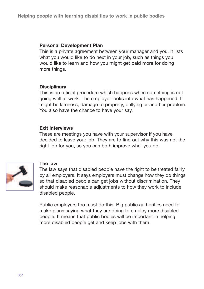#### **Personal Development Plan**

This is a private agreement between your manager and you. It lists what you would like to do next in your job, such as things you would like to learn and how you might get paid more for doing more things.

#### **Disciplinary**

This is an official procedure which happens when something is not going well at work. The employer looks into what has happened. It might be lateness, damage to property, bullying or another problem. You also have the chance to have your say.

#### **Exit interviews**

These are meetings you have with your supervisor if you have decided to leave your job. They are to find out why this was not the right job for you, so you can both improve what you do.



### **The law**

The law says that disabled people have the right to be treated fairly by all employers. It says employers must change how they do things so that disabled people can get jobs without discrimination. They should make reasonable adjustments to how they work to include disabled people.

Public employers too must do this. Big public authorities need to make plans saying what they are doing to employ more disabled people. It means that public bodies will be important in helping more disabled people get and keep jobs with them.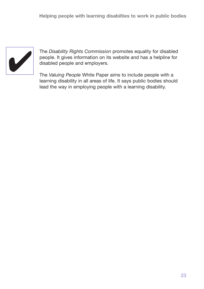

The *Disability Rights Commission* promotes equality for disabled people. It gives information on its website and has a helpline for disabled people and employers.

The *Valuing People* White Paper aims to include people with a learning disability in all areas of life. It says public bodies should lead the way in employing people with a learning disability.